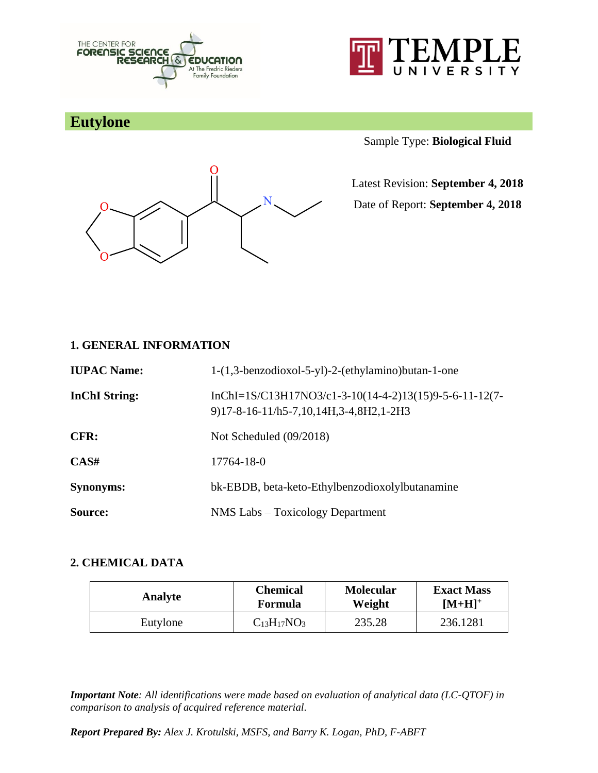



# **Eutylone**



Sample Type: **Biological Fluid**

Latest Revision: **September 4, 2018**

Date of Report: **September 4, 2018**

### **1. GENERAL INFORMATION**

| <b>IUPAC Name:</b>   | 1-(1,3-benzodioxol-5-yl)-2-(ethylamino)butan-1-one                                               |
|----------------------|--------------------------------------------------------------------------------------------------|
| <b>InChI</b> String: | InChI=1S/C13H17NO3/c1-3-10(14-4-2)13(15)9-5-6-11-12(7-<br>9)17-8-16-11/h5-7,10,14H,3-4,8H2,1-2H3 |
| CFR:                 | Not Scheduled (09/2018)                                                                          |
| CAS#                 | 17764-18-0                                                                                       |
| <b>Synonyms:</b>     | bk-EBDB, beta-keto-Ethylbenzodioxolylbutanamine                                                  |
| Source:              | NMS Labs – Toxicology Department                                                                 |

### **2. CHEMICAL DATA**

| Analyte  | <b>Chemical</b>    | <b>Molecular</b> | <b>Exact Mass</b> |
|----------|--------------------|------------------|-------------------|
|          | <b>Formula</b>     | Weight           | $[M+H]^+$         |
| Eutylone | $C_{13}H_{17}NO_3$ | 235.28           | 236.1281          |

*Important Note: All identifications were made based on evaluation of analytical data (LC-QTOF) in comparison to analysis of acquired reference material.*

*Report Prepared By: Alex J. Krotulski, MSFS, and Barry K. Logan, PhD, F-ABFT*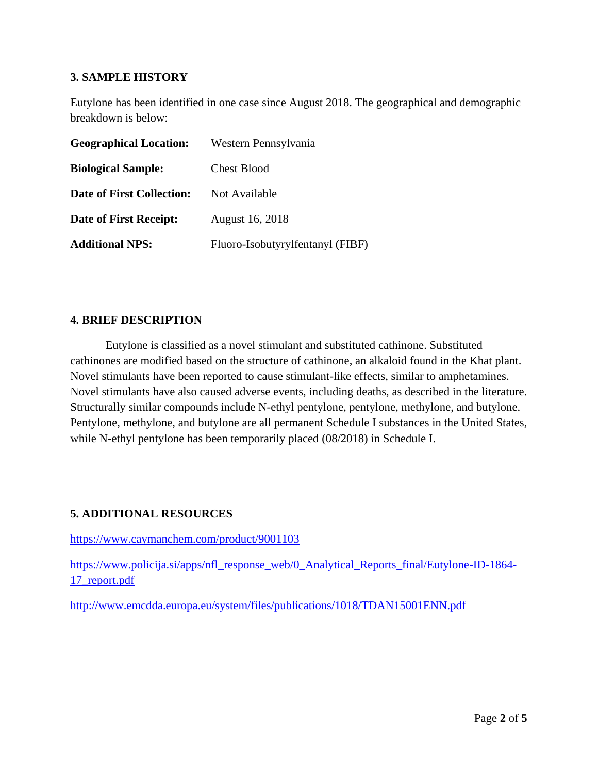### **3. SAMPLE HISTORY**

Eutylone has been identified in one case since August 2018. The geographical and demographic breakdown is below:

| <b>Geographical Location:</b>    | Western Pennsylvania             |
|----------------------------------|----------------------------------|
| <b>Biological Sample:</b>        | <b>Chest Blood</b>               |
| <b>Date of First Collection:</b> | Not Available                    |
| <b>Date of First Receipt:</b>    | August 16, 2018                  |
| <b>Additional NPS:</b>           | Fluoro-Isobutyrylfentanyl (FIBF) |

#### **4. BRIEF DESCRIPTION**

Eutylone is classified as a novel stimulant and substituted cathinone. Substituted cathinones are modified based on the structure of cathinone, an alkaloid found in the Khat plant. Novel stimulants have been reported to cause stimulant-like effects, similar to amphetamines. Novel stimulants have also caused adverse events, including deaths, as described in the literature. Structurally similar compounds include N-ethyl pentylone, pentylone, methylone, and butylone. Pentylone, methylone, and butylone are all permanent Schedule I substances in the United States, while N-ethyl pentylone has been temporarily placed (08/2018) in Schedule I.

### **5. ADDITIONAL RESOURCES**

<https://www.caymanchem.com/product/9001103>

[https://www.policija.si/apps/nfl\\_response\\_web/0\\_Analytical\\_Reports\\_final/Eutylone-ID-1864-](https://www.policija.si/apps/nfl_response_web/0_Analytical_Reports_final/Eutylone-ID-1864-17_report.pdf) [17\\_report.pdf](https://www.policija.si/apps/nfl_response_web/0_Analytical_Reports_final/Eutylone-ID-1864-17_report.pdf)

<http://www.emcdda.europa.eu/system/files/publications/1018/TDAN15001ENN.pdf>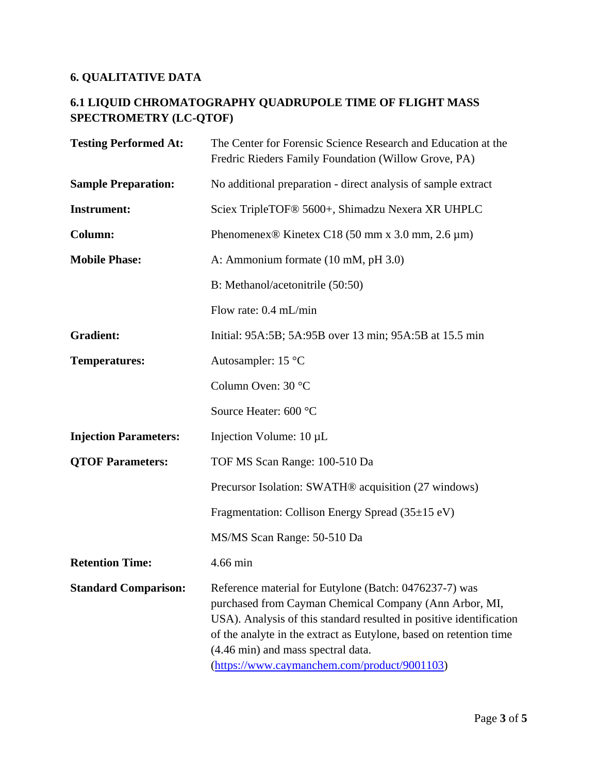## **6. QUALITATIVE DATA**

### **6.1 LIQUID CHROMATOGRAPHY QUADRUPOLE TIME OF FLIGHT MASS SPECTROMETRY (LC-QTOF)**

| <b>Testing Performed At:</b> | The Center for Forensic Science Research and Education at the<br>Fredric Rieders Family Foundation (Willow Grove, PA)                                                                                                                                                                                                                               |
|------------------------------|-----------------------------------------------------------------------------------------------------------------------------------------------------------------------------------------------------------------------------------------------------------------------------------------------------------------------------------------------------|
| <b>Sample Preparation:</b>   | No additional preparation - direct analysis of sample extract                                                                                                                                                                                                                                                                                       |
| <b>Instrument:</b>           | Sciex TripleTOF® 5600+, Shimadzu Nexera XR UHPLC                                                                                                                                                                                                                                                                                                    |
| <b>Column:</b>               | Phenomenex <sup>®</sup> Kinetex C18 (50 mm x 3.0 mm, 2.6 $\mu$ m)                                                                                                                                                                                                                                                                                   |
| <b>Mobile Phase:</b>         | A: Ammonium formate (10 mM, pH 3.0)                                                                                                                                                                                                                                                                                                                 |
|                              | B: Methanol/acetonitrile (50:50)                                                                                                                                                                                                                                                                                                                    |
|                              | Flow rate: 0.4 mL/min                                                                                                                                                                                                                                                                                                                               |
| <b>Gradient:</b>             | Initial: 95A:5B; 5A:95B over 13 min; 95A:5B at 15.5 min                                                                                                                                                                                                                                                                                             |
| <b>Temperatures:</b>         | Autosampler: $15^{\circ}$ C                                                                                                                                                                                                                                                                                                                         |
|                              | Column Oven: 30 °C                                                                                                                                                                                                                                                                                                                                  |
|                              | Source Heater: 600 °C                                                                                                                                                                                                                                                                                                                               |
| <b>Injection Parameters:</b> | Injection Volume: 10 µL                                                                                                                                                                                                                                                                                                                             |
| <b>QTOF Parameters:</b>      | TOF MS Scan Range: 100-510 Da                                                                                                                                                                                                                                                                                                                       |
|                              | Precursor Isolation: SWATH <sup>®</sup> acquisition (27 windows)                                                                                                                                                                                                                                                                                    |
|                              | Fragmentation: Collison Energy Spread (35±15 eV)                                                                                                                                                                                                                                                                                                    |
|                              | MS/MS Scan Range: 50-510 Da                                                                                                                                                                                                                                                                                                                         |
| <b>Retention Time:</b>       | 4.66 min                                                                                                                                                                                                                                                                                                                                            |
| <b>Standard Comparison:</b>  | Reference material for Eutylone (Batch: 0476237-7) was<br>purchased from Cayman Chemical Company (Ann Arbor, MI,<br>USA). Analysis of this standard resulted in positive identification<br>of the analyte in the extract as Eutylone, based on retention time<br>(4.46 min) and mass spectral data.<br>(https://www.caymanchem.com/product/9001103) |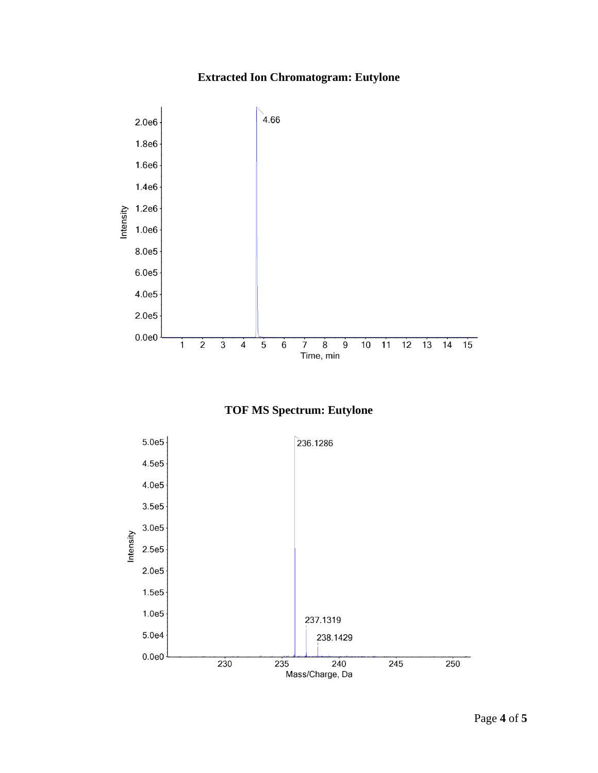## **Extracted Ion Chromatogram: Eutylone**